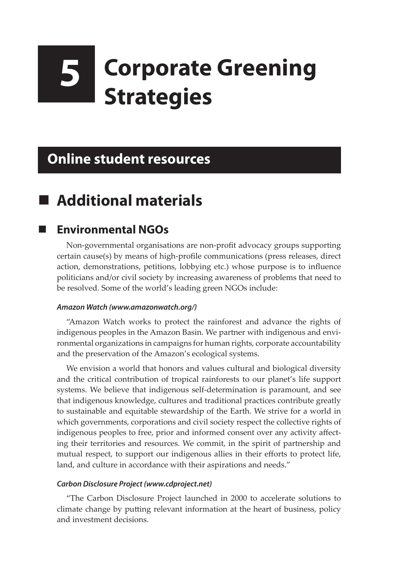# **5 Corporate Greening Strategies**

## **Online student resources**

### **Additional materials**

### **Environmental NGOs**

Non-governmental organisations are non-profit advocacy groups supporting certain cause(s) by means of high-profile communications (press releases, direct action, demonstrations, petitions, lobbying etc.) whose purpose is to influence politicians and/or civil society by increasing awareness of problems that need to be resolved. Some of the world's leading green NGOs include:

#### *Amazon Watch (www.amazonwatch.org/)*

"Amazon Watch works to protect the rainforest and advance the rights of indigenous peoples in the Amazon Basin. We partner with indigenous and environmental organizations in campaigns for human rights, corporate accountability and the preservation of the Amazon's ecological systems.

We envision a world that honors and values cultural and biological diversity and the critical contribution of tropical rainforests to our planet's life support systems. We believe that indigenous self-determination is paramount, and see that indigenous knowledge, cultures and traditional practices contribute greatly to sustainable and equitable stewardship of the Earth. We strive for a world in which governments, corporations and civil society respect the collective rights of indigenous peoples to free, prior and informed consent over any activity affecting their territories and resources. We commit, in the spirit of partnership and mutual respect, to support our indigenous allies in their efforts to protect life, land, and culture in accordance with their aspirations and needs."

#### *Carbon Disclosure Project (www.cdproject.net)*

"The Carbon Disclosure Project launched in 2000 to accelerate solutions to climate change by putting relevant information at the heart of business, policy and investment decisions.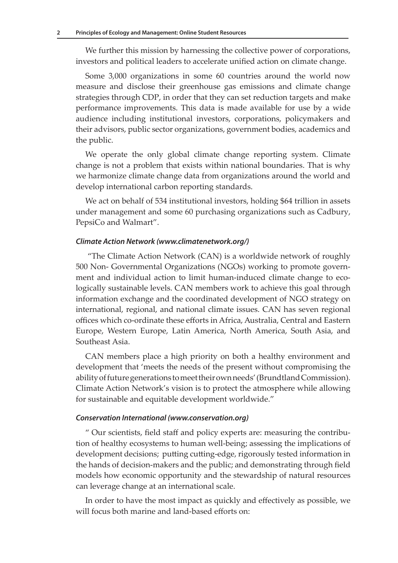We further this mission by harnessing the collective power of corporations, investors and political leaders to accelerate unified action on climate change.

Some 3,000 organizations in some 60 countries around the world now measure and disclose their greenhouse gas emissions and climate change strategies through CDP, in order that they can set reduction targets and make performance improvements. This data is made available for use by a wide audience including institutional investors, corporations, policymakers and their advisors, public sector organizations, government bodies, academics and the public.

We operate the only global climate change reporting system. Climate change is not a problem that exists within national boundaries. That is why we harmonize climate change data from organizations around the world and develop international carbon reporting standards.

We act on behalf of 534 institutional investors, holding \$64 trillion in assets under management and some 60 purchasing organizations such as Cadbury, PepsiCo and Walmart".

#### *Climate Action Network (www.climatenetwork.org/)*

 "The Climate Action Network (CAN) is a worldwide network of roughly 500 Non- Governmental Organizations (NGOs) working to promote government and individual action to limit human-induced climate change to ecologically sustainable levels. CAN members work to achieve this goal through information exchange and the coordinated development of NGO strategy on international, regional, and national climate issues. CAN has seven regional offices which co-ordinate these efforts in Africa, Australia, Central and Eastern Europe, Western Europe, Latin America, North America, South Asia, and Southeast Asia.

CAN members place a high priority on both a healthy environment and development that 'meets the needs of the present without compromising the ability of future generations to meet their own needs' (Brundtland Commission). Climate Action Network's vision is to protect the atmosphere while allowing for sustainable and equitable development worldwide."

#### *Conservation International (www.conservation.org)*

" Our scientists, field staff and policy experts are: measuring the contribution of healthy ecosystems to human well-being; assessing the implications of development decisions; putting cutting-edge, rigorously tested information in the hands of decision-makers and the public; and demonstrating through field models how economic opportunity and the stewardship of natural resources can leverage change at an international scale.

In order to have the most impact as quickly and effectively as possible, we will focus both marine and land-based efforts on: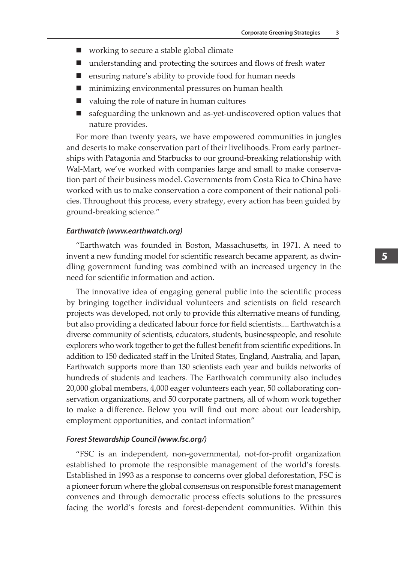- working to secure a stable global climate
- understanding and protecting the sources and flows of fresh water
- ensuring nature's ability to provide food for human needs
- minimizing environmental pressures on human health
- valuing the role of nature in human cultures
- safeguarding the unknown and as-yet-undiscovered option values that nature provides.

For more than twenty years, we have empowered communities in jungles and deserts to make conservation part of their livelihoods. From early partnerships with Patagonia and Starbucks to our ground-breaking relationship with Wal-Mart, we've worked with companies large and small to make conservation part of their business model. Governments from Costa Rica to China have worked with us to make conservation a core component of their national policies. Throughout this process, every strategy, every action has been guided by ground-breaking science."

#### *Earthwatch (www.earthwatch.org)*

"Earthwatch was founded in Boston, Massachusetts, in 1971. A need to invent a new funding model for scientific research became apparent, as dwindling government funding was combined with an increased urgency in the need for scientific information and action.

The innovative idea of engaging general public into the scientific process by bringing together individual volunteers and scientists on field research projects was developed, not only to provide this alternative means of funding, but also providing a dedicated labour force for field scientists.... Earthwatch is a diverse community of scientists, educators, students, businesspeople, and resolute explorers who work together to get the fullest benefit from scientific expeditions. In addition to 150 dedicated staff in the United States, England, Australia, and Japan, Earthwatch supports more than 130 scientists each year and builds networks of hundreds of students and teachers. The Earthwatch community also includes 20,000 global members, 4,000 eager volunteers each year, 50 collaborating conservation organizations, and 50 corporate partners, all of whom work together to make a difference. Below you will find out more about our leadership, employment opportunities, and contact information"

#### *Forest Stewardship Council (www.fsc.org/)*

"FSC is an independent, non-governmental, not-for-profit organization established to promote the responsible management of the world's forests. Established in 1993 as a response to concerns over global deforestation, FSC is a pioneer forum where the global consensus on responsible forest management convenes and through democratic process effects solutions to the pressures facing the world's forests and forest-dependent communities. Within this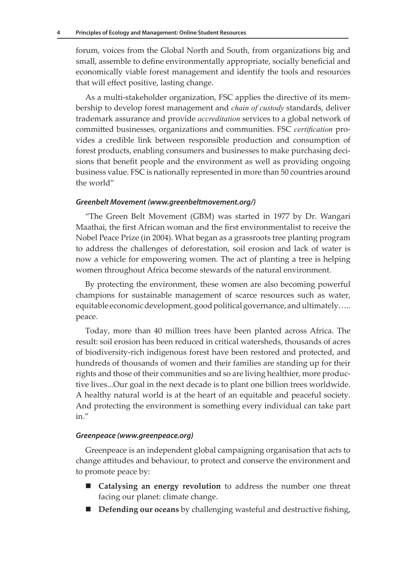forum, voices from the Global North and South, from organizations big and small, assemble to define environmentally appropriate, socially beneficial and economically viable forest management and identify the tools and resources that will effect positive, lasting change.

As a multi-stakeholder organization, FSC applies the directive of its membership to develop forest management and *chain of custody* standards, deliver trademark assurance and provide *accreditation* services to a global network of committed businesses, organizations and communities. FSC *certification* provides a credible link between responsible production and consumption of forest products, enabling consumers and businesses to make purchasing decisions that benefit people and the environment as well as providing ongoing business value. FSC is nationally represented in more than 50 countries around the world"

#### *Greenbelt Movement (www.greenbeltmovement.org/)*

"The Green Belt Movement (GBM) was started in 1977 by Dr. Wangari Maathai, the first African woman and the first environmentalist to receive the Nobel Peace Prize (in 2004). What began as a grassroots tree planting program to address the challenges of deforestation, soil erosion and lack of water is now a vehicle for empowering women. The act of planting a tree is helping women throughout Africa become stewards of the natural environment.

By protecting the environment, these women are also becoming powerful champions for sustainable management of scarce resources such as water, equitable economic development, good political governance, and ultimately….. peace.

Today, more than 40 million trees have been planted across Africa. The result: soil erosion has been reduced in critical watersheds, thousands of acres of biodiversity-rich indigenous forest have been restored and protected, and hundreds of thousands of women and their families are standing up for their rights and those of their communities and so are living healthier, more productive lives...Our goal in the next decade is to plant one billion trees worldwide. A healthy natural world is at the heart of an equitable and peaceful society. And protecting the environment is something every individual can take part in."

#### *Greenpeace (www.greenpeace.org)*

Greenpeace is an independent global campaigning organisation that acts to change attitudes and behaviour, to protect and conserve the environment and to promote peace by:

- **Catalysing an energy revolution** to address the number one threat facing our planet: climate change.
- **Defending our oceans** by challenging wasteful and destructive fishing,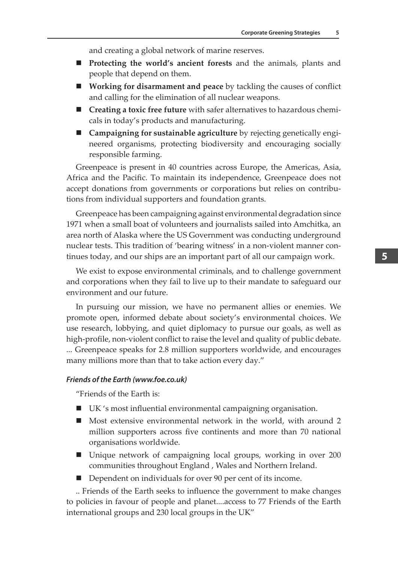and creating a global network of marine reserves.

- **Protecting the world's ancient forests** and the animals, plants and people that depend on them.
- **Working for disarmament and peace** by tackling the causes of conflict and calling for the elimination of all nuclear weapons.
- **Creating a toxic free future** with safer alternatives to hazardous chemicals in today's products and manufacturing.
- **Campaigning for sustainable agriculture** by rejecting genetically engineered organisms, protecting biodiversity and encouraging socially responsible farming.

Greenpeace is present in 40 countries across Europe, the Americas, Asia, Africa and the Pacific. To maintain its independence, Greenpeace does not accept donations from governments or corporations but relies on contributions from individual supporters and foundation grants.

Greenpeace has been campaigning against environmental degradation since 1971 when a small boat of volunteers and journalists sailed into Amchitka, an area north of Alaska where the US Government was conducting underground nuclear tests. This tradition of 'bearing witness' in a non-violent manner continues today, and our ships are an important part of all our campaign work.

We exist to expose environmental criminals, and to challenge government and corporations when they fail to live up to their mandate to safeguard our environment and our future.

In pursuing our mission, we have no permanent allies or enemies. We promote open, informed debate about society's environmental choices. We use research, lobbying, and quiet diplomacy to pursue our goals, as well as high-profile, non-violent conflict to raise the level and quality of public debate. ... Greenpeace speaks for 2.8 million supporters worldwide, and encourages many millions more than that to take action every day."

#### *Friends of the Earth (www.foe.co.uk)*

"Friends of the Earth is:

- UK 's most influential environmental campaigning organisation.
- Most extensive environmental network in the world, with around 2 million supporters across five continents and more than 70 national organisations worldwide.
- Unique network of campaigning local groups, working in over 200 communities throughout England , Wales and Northern Ireland.
- Dependent on individuals for over 90 per cent of its income.

.. Friends of the Earth seeks to influence the government to make changes to policies in favour of people and planet....access to 77 Friends of the Earth international groups and 230 local groups in the UK"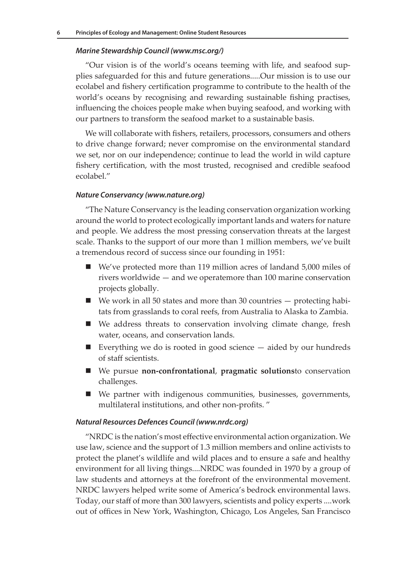#### *Marine Stewardship Council (www.msc.org/)*

"Our vision is of the world's oceans teeming with life, and seafood supplies safeguarded for this and future generations.....Our mission is to use our ecolabel and fishery certification programme to contribute to the health of the world's oceans by recognising and rewarding sustainable fishing practises, influencing the choices people make when buying seafood, and working with our partners to transform the seafood market to a sustainable basis.

We will collaborate with fishers, retailers, processors, consumers and others to drive change forward; never compromise on the environmental standard we set, nor on our independence; continue to lead the world in wild capture fishery certification, with the most trusted, recognised and credible seafood ecolabel."

#### *Nature Conservancy (www.nature.org)*

"The Nature Conservancy is the leading conservation organization working around the world to protect ecologically important lands and waters for nature and people. We address the most pressing conservation threats at the largest scale. Thanks to the support of our more than 1 million members, we've built a tremendous record of success since our founding in 1951:

- We've protected more than 119 million acres of landand 5,000 miles of rivers worldwide — and we operatemore than 100 marine conservation projects globally.
- $\blacksquare$  We work in all 50 states and more than 30 countries  $-$  protecting habitats from grasslands to coral reefs, from Australia to Alaska to Zambia.
- We address threats to conservation involving climate change, fresh water, oceans, and conservation lands.
- Everything we do is rooted in good science  $-$  aided by our hundreds of staff scientists.
- We pursue **non-confrontational**, **pragmatic solutions**to conservation challenges.
- We partner with indigenous communities, businesses, governments, multilateral institutions, and other non-profits. "

#### *Natural Resources Defences Council (www.nrdc.org)*

"NRDC is the nation's most effective environmental action organization. We use law, science and the support of 1.3 million members and online activists to protect the planet's wildlife and wild places and to ensure a safe and healthy environment for all living things....NRDC was founded in 1970 by a group of law students and attorneys at the forefront of the environmental movement. NRDC lawyers helped write some of America's bedrock environmental laws. Today, our staff of more than 300 lawyers, scientists and policy experts ....work out of offices in New York, Washington, Chicago, Los Angeles, San Francisco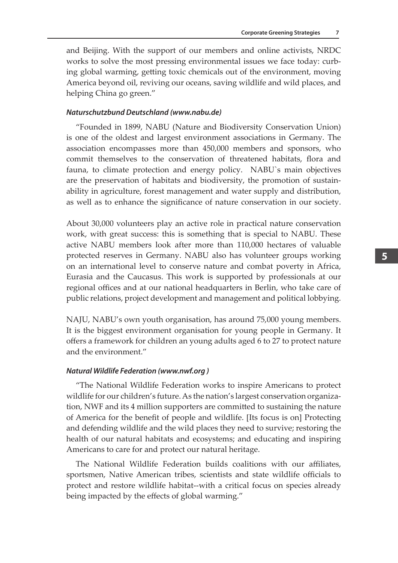and Beijing. With the support of our members and online activists, NRDC works to solve the most pressing environmental issues we face today: curbing global warming, getting toxic chemicals out of the environment, moving America beyond oil, reviving our oceans, saving wildlife and wild places, and helping China go green."

#### *Naturschutzbund Deutschland (www.nabu.de)*

"Founded in 1899, NABU (Nature and Biodiversity Conservation Union) is one of the oldest and largest environment associations in Germany. The association encompasses more than 450,000 members and sponsors, who commit themselves to the conservation of threatened habitats, flora and fauna, to climate protection and energy policy. NABU`s main objectives are the preservation of habitats and biodiversity, the promotion of sustainability in agriculture, forest management and water supply and distribution, as well as to enhance the significance of nature conservation in our society.

About 30,000 volunteers play an active role in practical nature conservation work, with great success: this is something that is special to NABU. These active NABU members look after more than 110,000 hectares of valuable protected reserves in Germany. NABU also has volunteer groups working on an international level to conserve nature and combat poverty in Africa, Eurasia and the Caucasus. This work is supported by professionals at our regional offices and at our national headquarters in Berlin, who take care of public relations, project development and management and political lobbying.

NAJU, NABU's own youth organisation, has around 75,000 young members. It is the biggest environment organisation for young people in Germany. It offers a framework for children an young adults aged 6 to 27 to protect nature and the environment."

#### *Natural Wildlife Federation (www.nwf.org )*

"The National Wildlife Federation works to inspire Americans to protect wildlife for our children's future. As the nation's largest conservation organization, NWF and its 4 million supporters are committed to sustaining the nature of America for the benefit of people and wildlife. [Its focus is on] Protecting and defending wildlife and the wild places they need to survive; restoring the health of our natural habitats and ecosystems; and educating and inspiring Americans to care for and protect our natural heritage.

The National Wildlife Federation builds coalitions with our affiliates, sportsmen, Native American tribes, scientists and state wildlife officials to protect and restore wildlife habitat--with a critical focus on species already being impacted by the effects of global warming."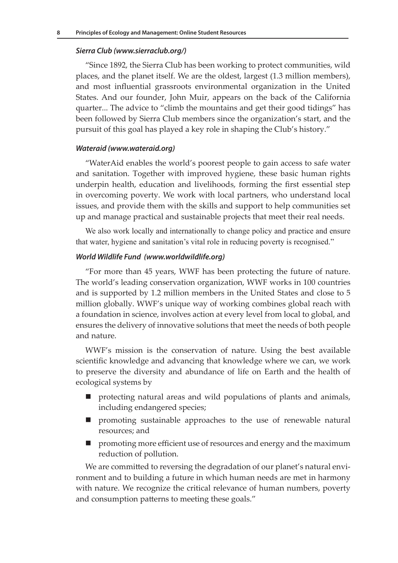#### *Sierra Club (www.sierraclub.org/)*

"Since 1892, the Sierra Club has been working to protect communities, wild places, and the planet itself. We are the oldest, largest (1.3 million members), and most influential grassroots environmental organization in the United States. And our founder, John Muir, appears on the back of the California quarter... The advice to "climb the mountains and get their good tidings" has been followed by Sierra Club members since the organization's start, and the pursuit of this goal has played a key role in shaping the Club's history."

#### *Wateraid (www.wateraid.org)*

"WaterAid enables the world's poorest people to gain access to safe water and sanitation. Together with improved hygiene, these basic human rights underpin health, education and livelihoods, forming the first essential step in overcoming poverty. We work with local partners, who understand local issues, and provide them with the skills and support to help communities set up and manage practical and sustainable projects that meet their real needs.

We also work locally and internationally to change policy and practice and ensure that water, hygiene and sanitation's vital role in reducing poverty is recognised."

#### *World Wildlife Fund (www.worldwildlife.org)*

"For more than 45 years, WWF has been protecting the future of nature. The world's leading conservation organization, WWF works in 100 countries and is supported by 1.2 million members in the United States and close to 5 million globally. WWF's unique way of working combines global reach with a foundation in science, involves action at every level from local to global, and ensures the delivery of innovative solutions that meet the needs of both people and nature.

WWF's mission is the conservation of nature. Using the best available scientific knowledge and advancing that knowledge where we can, we work to preserve the diversity and abundance of life on Earth and the health of ecological systems by

- protecting natural areas and wild populations of plants and animals, including endangered species;
- promoting sustainable approaches to the use of renewable natural resources; and
- **P** promoting more efficient use of resources and energy and the maximum reduction of pollution.

We are committed to reversing the degradation of our planet's natural environment and to building a future in which human needs are met in harmony with nature. We recognize the critical relevance of human numbers, poverty and consumption patterns to meeting these goals."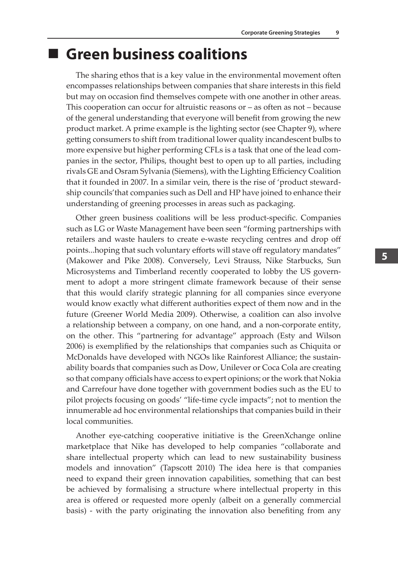### **Green business coalitions**

The sharing ethos that is a key value in the environmental movement often encompasses relationships between companies that share interests in this field but may on occasion find themselves compete with one another in other areas. This cooperation can occur for altruistic reasons or – as often as not – because of the general understanding that everyone will benefit from growing the new product market. A prime example is the lighting sector (see Chapter 9), where getting consumers to shift from traditional lower quality incandescent bulbs to more expensive but higher performing CFLs is a task that one of the lead companies in the sector, Philips, thought best to open up to all parties, including rivals GE and Osram Sylvania (Siemens), with the Lighting Efficiency Coalition that it founded in 2007. In a similar vein, there is the rise of 'product stewardship councils'that companies such as Dell and HP have joined to enhance their understanding of greening processes in areas such as packaging.

Other green business coalitions will be less product-specific. Companies such as LG or Waste Management have been seen "forming partnerships with retailers and waste haulers to create e-waste recycling centres and drop off points...hoping that such voluntary efforts will stave off regulatory mandates" (Makower and Pike 2008). Conversely, Levi Strauss, Nike Starbucks, Sun Microsystems and Timberland recently cooperated to lobby the US government to adopt a more stringent climate framework because of their sense that this would clarify strategic planning for all companies since everyone would know exactly what different authorities expect of them now and in the future (Greener World Media 2009). Otherwise, a coalition can also involve a relationship between a company, on one hand, and a non-corporate entity, on the other. This "partnering for advantage" approach (Esty and Wilson 2006) is exemplified by the relationships that companies such as Chiquita or McDonalds have developed with NGOs like Rainforest Alliance; the sustainability boards that companies such as Dow, Unilever or Coca Cola are creating so that company officials have access to expert opinions; or the work that Nokia and Carrefour have done together with government bodies such as the EU to pilot projects focusing on goods' "life-time cycle impacts"; not to mention the innumerable ad hoc environmental relationships that companies build in their local communities.

Another eye-catching cooperative initiative is the GreenXchange online marketplace that Nike has developed to help companies "collaborate and share intellectual property which can lead to new sustainability business models and innovation" (Tapscott 2010) The idea here is that companies need to expand their green innovation capabilities, something that can best be achieved by formalising a structure where intellectual property in this area is offered or requested more openly (albeit on a generally commercial basis) - with the party originating the innovation also benefiting from any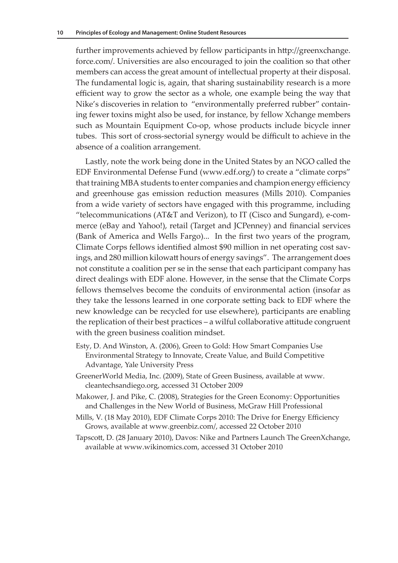further improvements achieved by fellow participants in http://greenxchange. force.com/. Universities are also encouraged to join the coalition so that other members can access the great amount of intellectual property at their disposal. The fundamental logic is, again, that sharing sustainability research is a more efficient way to grow the sector as a whole, one example being the way that Nike's discoveries in relation to "environmentally preferred rubber" containing fewer toxins might also be used, for instance, by fellow Xchange members such as Mountain Equipment Co-op, whose products include bicycle inner tubes. This sort of cross-sectorial synergy would be difficult to achieve in the absence of a coalition arrangement.

Lastly, note the work being done in the United States by an NGO called the EDF Environmental Defense Fund (www.edf.org/) to create a "climate corps" that training MBA students to enter companies and champion energy efficiency and greenhouse gas emission reduction measures (Mills 2010). Companies from a wide variety of sectors have engaged with this programme, including "telecommunications (AT&T and Verizon), to IT (Cisco and Sungard), e-commerce (eBay and Yahoo!), retail (Target and JCPenney) and financial services (Bank of America and Wells Fargo)... In the first two years of the program, Climate Corps fellows identified almost \$90 million in net operating cost savings, and 280 million kilowatt hours of energy savings". The arrangement does not constitute a coalition per se in the sense that each participant company has direct dealings with EDF alone. However, in the sense that the Climate Corps fellows themselves become the conduits of environmental action (insofar as they take the lessons learned in one corporate setting back to EDF where the new knowledge can be recycled for use elsewhere), participants are enabling the replication of their best practices – a wilful collaborative attitude congruent with the green business coalition mindset.

- Esty, D. And Winston, A. (2006), Green to Gold: How Smart Companies Use Environmental Strategy to Innovate, Create Value, and Build Competitive Advantage, Yale University Press
- GreenerWorld Media, Inc. (2009), State of Green Business, available at www. cleantechsandiego.org, accessed 31 October 2009
- Makower, J. and Pike, C. (2008), Strategies for the Green Economy: Opportunities and Challenges in the New World of Business, McGraw Hill Professional
- Mills, V. (18 May 2010), EDF Climate Corps 2010: The Drive for Energy Efficiency Grows, available at www.greenbiz.com/, accessed 22 October 2010
- Tapscott, D. (28 January 2010), Davos: Nike and Partners Launch The GreenXchange, available at www.wikinomics.com, accessed 31 October 2010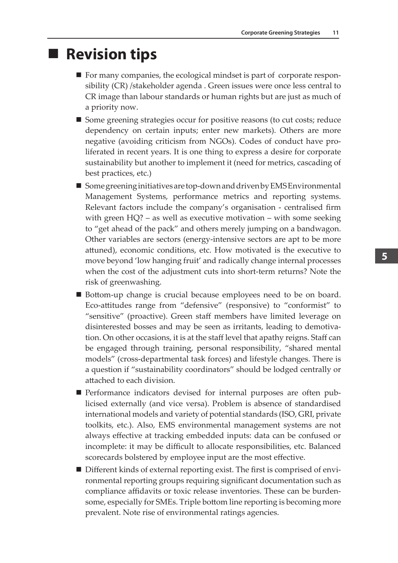### ■ Revision tips

- $\blacksquare$  For many companies, the ecological mindset is part of corporate responsibility (CR) /stakeholder agenda . Green issues were once less central to CR image than labour standards or human rights but are just as much of a priority now.
- Some greening strategies occur for positive reasons (to cut costs; reduce dependency on certain inputs; enter new markets). Others are more negative (avoiding criticism from NGOs). Codes of conduct have proliferated in recent years. It is one thing to express a desire for corporate sustainability but another to implement it (need for metrics, cascading of best practices, etc.)
- Some greening initiatives are top-down and driven by EMS Environmental Management Systems, performance metrics and reporting systems. Relevant factors include the company's organisation - centralised firm with green HQ? – as well as executive motivation – with some seeking to "get ahead of the pack" and others merely jumping on a bandwagon. Other variables are sectors (energy-intensive sectors are apt to be more attuned), economic conditions, etc. How motivated is the executive to move beyond 'low hanging fruit' and radically change internal processes when the cost of the adjustment cuts into short-term returns? Note the risk of greenwashing.
- Bottom-up change is crucial because employees need to be on board. Eco-attitudes range from "defensive" (responsive) to "conformist" to "sensitive" (proactive). Green staff members have limited leverage on disinterested bosses and may be seen as irritants, leading to demotivation. On other occasions, it is at the staff level that apathy reigns. Staff can be engaged through training, personal responsibility, "shared mental models" (cross-departmental task forces) and lifestyle changes. There is a question if "sustainability coordinators" should be lodged centrally or attached to each division.
- Performance indicators devised for internal purposes are often publicised externally (and vice versa). Problem is absence of standardised international models and variety of potential standards (ISO, GRI, private toolkits, etc.). Also, EMS environmental management systems are not always effective at tracking embedded inputs: data can be confused or incomplete: it may be difficult to allocate responsibilities, etc. Balanced scorecards bolstered by employee input are the most effective.
- Different kinds of external reporting exist. The first is comprised of environmental reporting groups requiring significant documentation such as compliance affidavits or toxic release inventories. These can be burdensome, especially for SMEs. Triple bottom line reporting is becoming more prevalent. Note rise of environmental ratings agencies.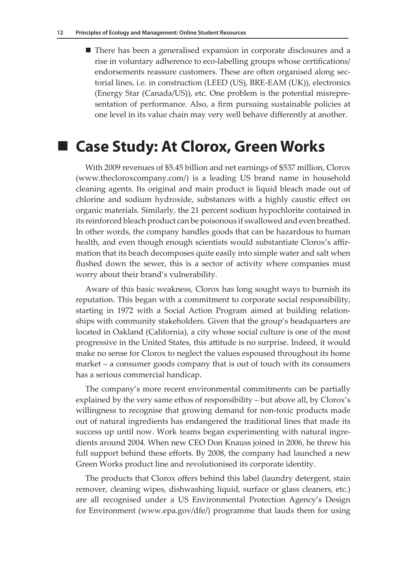■ There has been a generalised expansion in corporate disclosures and a rise in voluntary adherence to eco-labelling groups whose certifications/ endorsements reassure customers. These are often organised along sectorial lines, i.e. in construction (LEED (US), BRE-EAM (UK)), electronics (Energy Star (Canada/US)), etc. One problem is the potential misrepresentation of performance. Also, a firm pursuing sustainable policies at one level in its value chain may very well behave differently at another.

### **Case Study: At Clorox, Green Works**

With 2009 revenues of \$5.45 billion and net earnings of \$537 million, Clorox (www.thecloroxcompany.com/) is a leading US brand name in household cleaning agents. Its original and main product is liquid bleach made out of chlorine and sodium hydroxide, substances with a highly caustic effect on organic materials. Similarly, the 21 percent sodium hypochlorite contained in its reinforced bleach product can be poisonous if swallowed and even breathed. In other words, the company handles goods that can be hazardous to human health, and even though enough scientists would substantiate Clorox's affirmation that its beach decomposes quite easily into simple water and salt when flushed down the sewer, this is a sector of activity where companies must worry about their brand's vulnerability.

Aware of this basic weakness, Clorox has long sought ways to burnish its reputation. This began with a commitment to corporate social responsibility, starting in 1972 with a Social Action Program aimed at building relationships with community stakeholders. Given that the group's headquarters are located in Oakland (California), a city whose social culture is one of the most progressive in the United States, this attitude is no surprise. Indeed, it would make no sense for Clorox to neglect the values espoused throughout its home market – a consumer goods company that is out of touch with its consumers has a serious commercial handicap.

The company's more recent environmental commitments can be partially explained by the very same ethos of responsibility – but above all, by Clorox's willingness to recognise that growing demand for non-toxic products made out of natural ingredients has endangered the traditional lines that made its success up until now. Work teams began experimenting with natural ingredients around 2004. When new CEO Don Knauss joined in 2006, he threw his full support behind these efforts. By 2008, the company had launched a new Green Works product line and revolutionised its corporate identity.

The products that Clorox offers behind this label (laundry detergent, stain remover, cleaning wipes, dishwashing liquid, surface or glass cleaners, etc.) are all recognised under a US Environmental Protection Agency's Design for Environment (www.epa.gov/dfe/) programme that lauds them for using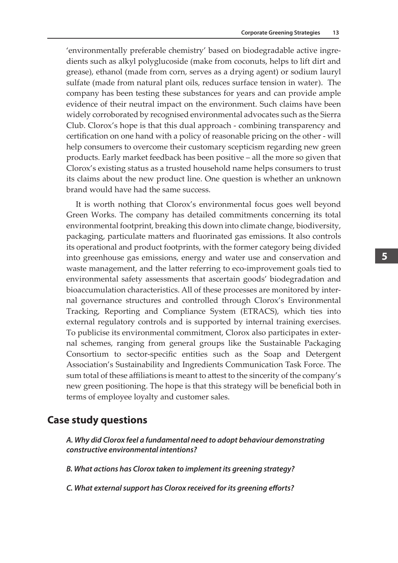'environmentally preferable chemistry' based on biodegradable active ingredients such as alkyl polyglucoside (make from coconuts, helps to lift dirt and grease), ethanol (made from corn, serves as a drying agent) or sodium lauryl sulfate (made from natural plant oils, reduces surface tension in water). The company has been testing these substances for years and can provide ample evidence of their neutral impact on the environment. Such claims have been widely corroborated by recognised environmental advocates such as the Sierra Club. Clorox's hope is that this dual approach - combining transparency and certification on one hand with a policy of reasonable pricing on the other - will help consumers to overcome their customary scepticism regarding new green products. Early market feedback has been positive – all the more so given that Clorox's existing status as a trusted household name helps consumers to trust its claims about the new product line. One question is whether an unknown brand would have had the same success.

It is worth nothing that Clorox's environmental focus goes well beyond Green Works. The company has detailed commitments concerning its total environmental footprint, breaking this down into climate change, biodiversity, packaging, particulate matters and fluorinated gas emissions. It also controls its operational and product footprints, with the former category being divided into greenhouse gas emissions, energy and water use and conservation and waste management, and the latter referring to eco-improvement goals tied to environmental safety assessments that ascertain goods' biodegradation and bioaccumulation characteristics. All of these processes are monitored by internal governance structures and controlled through Clorox's Environmental Tracking, Reporting and Compliance System (ETRACS), which ties into external regulatory controls and is supported by internal training exercises. To publicise its environmental commitment, Clorox also participates in external schemes, ranging from general groups like the Sustainable Packaging Consortium to sector-specific entities such as the Soap and Detergent Association's Sustainability and Ingredients Communication Task Force. The sum total of these affiliations is meant to attest to the sincerity of the company's new green positioning. The hope is that this strategy will be beneficial both in terms of employee loyalty and customer sales.

### **Case study questions**

*A. Why did Clorox feel a fundamental need to adopt behaviour demonstrating constructive environmental intentions?*

*B. What actions has Clorox taken to implement its greening strategy?*

*C. What external support has Clorox received for its greening efforts?*